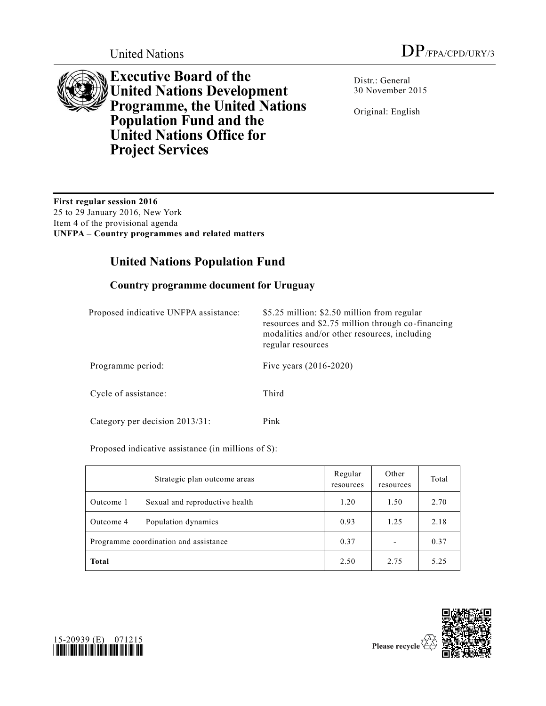

**Executive Board of the United Nations Development Programme, the United Nations Population Fund and the United Nations Office for Project Services**

Distr.: General 30 November 2015

Original: English

**First regular session 2016** 25 to 29 January 2016, New York Item 4 of the provisional agenda **UNFPA – Country programmes and related matters**

# **United Nations Population Fund**

## **Country programme document for Uruguay**

| Proposed indicative UNFPA assistance: | \$5.25 million: \$2.50 million from regular<br>resources and \$2.75 million through co-financing<br>modalities and/or other resources, including<br>regular resources |
|---------------------------------------|-----------------------------------------------------------------------------------------------------------------------------------------------------------------------|
| Programme period:                     | Five years $(2016 - 2020)$                                                                                                                                            |
| Cycle of assistance:                  | Third                                                                                                                                                                 |
| Category per decision 2013/31:        | Pink                                                                                                                                                                  |

Proposed indicative assistance (in millions of \$):

| Strategic plan outcome areas          |                                | Regular<br>resources | Other<br>resources | Total |
|---------------------------------------|--------------------------------|----------------------|--------------------|-------|
| Outcome 1                             | Sexual and reproductive health | 1.20                 | 1.50               | 2.70  |
| Outcome 4                             | Population dynamics            | 0.93                 | 1.25               | 2.18  |
| Programme coordination and assistance |                                | 0.37                 |                    | 0.37  |
| <b>Total</b>                          |                                | 2.50                 | 2.75               | 5.25  |



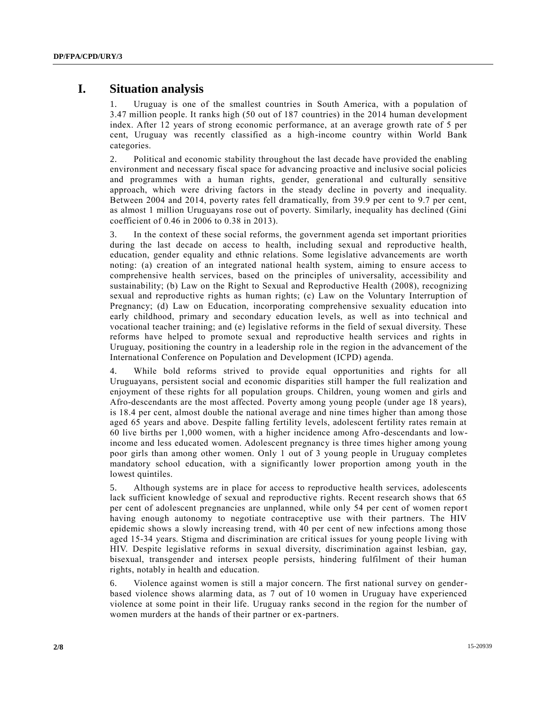## **I. Situation analysis**

1. Uruguay is one of the smallest countries in South America, with a population of 3.47 million people. It ranks high (50 out of 187 countries) in the 2014 human development index. After 12 years of strong economic performance, at an average growth rate of 5 per cent, Uruguay was recently classified as a high-income country within World Bank categories.

2. Political and economic stability throughout the last decade have provided the enabling environment and necessary fiscal space for advancing proactive and inclusive social policies and programmes with a human rights, gender, generational and culturally sensitive approach, which were driving factors in the steady decline in poverty and inequality. Between 2004 and 2014, poverty rates fell dramatically, from 39.9 per cent to 9.7 per cent, as almost 1 million Uruguayans rose out of poverty. Similarly, inequality has declined (Gini coefficient of 0.46 in 2006 to 0.38 in 2013).

3. In the context of these social reforms, the government agenda set important priorities during the last decade on access to health, including sexual and reproductive health, education, gender equality and ethnic relations. Some legislative advancements are worth noting: (a) creation of an integrated national health system, aiming to ensure access to comprehensive health services, based on the principles of universality, accessibility and sustainability; (b) Law on the Right to Sexual and Reproductive Health (2008), recognizing sexual and reproductive rights as human rights; (c) Law on the Voluntary Interruption of Pregnancy; (d) Law on Education, incorporating comprehensive sexuality education into early childhood, primary and secondary education levels, as well as into technical and vocational teacher training; and (e) legislative reforms in the field of sexual diversity. These reforms have helped to promote sexual and reproductive health services and rights in Uruguay, positioning the country in a leadership role in the region in the advancement of the International Conference on Population and Development (ICPD) agenda.

4. While bold reforms strived to provide equal opportunities and rights for all Uruguayans, persistent social and economic disparities still hamper the full realization and enjoyment of these rights for all population groups. Children, young women and girls and Afro-descendants are the most affected. Poverty among young people (under age 18 years), is 18.4 per cent, almost double the national average and nine times higher than among those aged 65 years and above. Despite falling fertility levels, adolescent fertility rates remain at 60 live births per 1,000 women, with a higher incidence among Afro-descendants and lowincome and less educated women. Adolescent pregnancy is three times higher among young poor girls than among other women. Only 1 out of 3 young people in Uruguay completes mandatory school education, with a significantly lower proportion among youth in the lowest quintiles.

5. Although systems are in place for access to reproductive health services, adolescents lack sufficient knowledge of sexual and reproductive rights. Recent research shows that 65 per cent of adolescent pregnancies are unplanned, while only 54 per cent of women report having enough autonomy to negotiate contraceptive use with their partners. The HIV epidemic shows a slowly increasing trend, with 40 per cent of new infections among those aged 15-34 years. Stigma and discrimination are critical issues for young people living with HIV. Despite legislative reforms in sexual diversity, discrimination against lesbian, gay, bisexual, transgender and intersex people persists, hindering fulfilment of their human rights, notably in health and education.

6. Violence against women is still a major concern. The first national survey on genderbased violence shows alarming data, as 7 out of 10 women in Uruguay have experienced violence at some point in their life. Uruguay ranks second in the region for the number of women murders at the hands of their partner or ex-partners.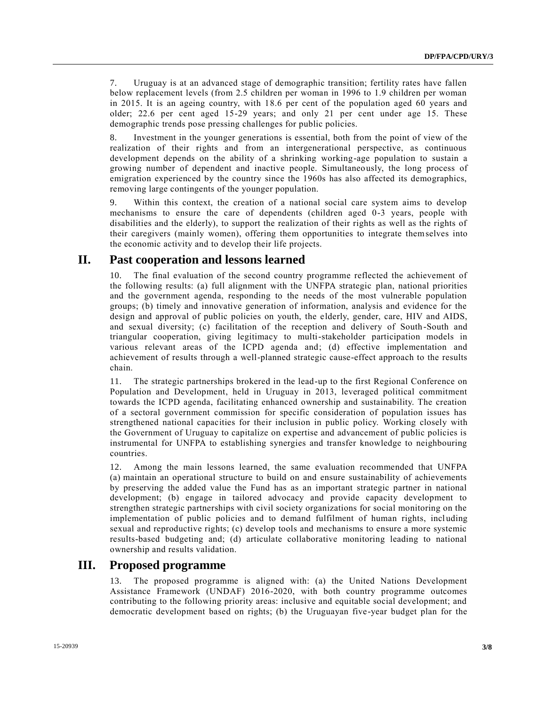7. Uruguay is at an advanced stage of demographic transition; fertility rates have fallen below replacement levels (from 2.5 children per woman in 1996 to 1.9 children per woman in 2015. It is an ageing country, with 18.6 per cent of the population aged 60 years and older; 22.6 per cent aged 15-29 years; and only 21 per cent under age 15. These demographic trends pose pressing challenges for public policies.

8. Investment in the younger generations is essential, both from the point of view of the realization of their rights and from an intergenerational perspective, as continuous development depends on the ability of a shrinking working-age population to sustain a growing number of dependent and inactive people. Simultaneously, the long process of emigration experienced by the country since the 1960s has also affected its demographics, removing large contingents of the younger population.

9. Within this context, the creation of a national social care system aims to develop mechanisms to ensure the care of dependents (children aged 0-3 years, people with disabilities and the elderly), to support the realization of their rights as well as the rights of their caregivers (mainly women), offering them opportunities to integrate themselves into the economic activity and to develop their life projects.

### **II. Past cooperation and lessons learned**

The final evaluation of the second country programme reflected the achievement of the following results: (a) full alignment with the UNFPA strategic plan, national priorities and the government agenda, responding to the needs of the most vulnerable population groups; (b) timely and innovative generation of information, analysis and evidence for the design and approval of public policies on youth, the elderly, gender, care, HIV and AIDS, and sexual diversity; (c) facilitation of the reception and delivery of South -South and triangular cooperation, giving legitimacy to multi-stakeholder participation models in various relevant areas of the ICPD agenda and; (d) effective implementation and achievement of results through a well-planned strategic cause-effect approach to the results chain.

11. The strategic partnerships brokered in the lead-up to the first Regional Conference on Population and Development, held in Uruguay in 2013, leveraged political commitment towards the ICPD agenda, facilitating enhanced ownership and sustainability. The creation of a sectoral government commission for specific consideration of population issues has strengthened national capacities for their inclusion in public policy. Working closely with the Government of Uruguay to capitalize on expertise and advancement of public policies is instrumental for UNFPA to establishing synergies and transfer knowledge to neighbouring countries.

12. Among the main lessons learned, the same evaluation recommended that UNFPA (a) maintain an operational structure to build on and ensure sustainability of achievements by preserving the added value the Fund has as an important strategic partner in national development; (b) engage in tailored advocacy and provide capacity development to strengthen strategic partnerships with civil society organizations for social monitoring on the implementation of public policies and to demand fulfilment of human rights, incl uding sexual and reproductive rights; (c) develop tools and mechanisms to ensure a more systemic results-based budgeting and; (d) articulate collaborative monitoring leading to national ownership and results validation.

### **III. Proposed programme**

13. The proposed programme is aligned with: (a) the United Nations Development Assistance Framework (UNDAF) 2016-2020, with both country programme outcomes contributing to the following priority areas: inclusive and equitable social development; and democratic development based on rights; (b) the Uruguayan five-year budget plan for the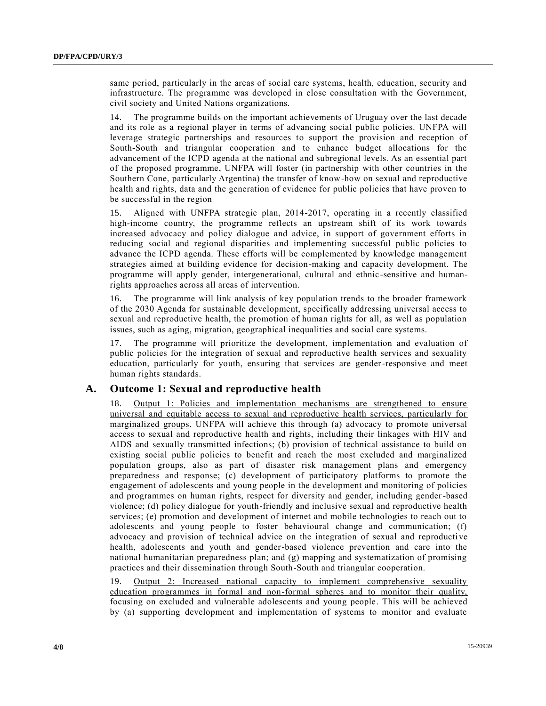same period, particularly in the areas of social care systems, health, education, security and infrastructure. The programme was developed in close consultation with the Government, civil society and United Nations organizations.

14. The programme builds on the important achievements of Uruguay over the last decade and its role as a regional player in terms of advancing social public policies. UNFPA will leverage strategic partnerships and resources to support the provision and reception of South-South and triangular cooperation and to enhance budget allocations for the advancement of the ICPD agenda at the national and subregional levels. As an essential part of the proposed programme, UNFPA will foster (in partnership with other countries in the Southern Cone, particularly Argentina) the transfer of know-how on sexual and reproductive health and rights, data and the generation of evidence for public policies that have proven to be successful in the region

15. Aligned with UNFPA strategic plan, 2014-2017, operating in a recently classified high-income country, the programme reflects an upstream shift of its work towards increased advocacy and policy dialogue and advice, in support of government efforts in reducing social and regional disparities and implementing successful public policies to advance the ICPD agenda. These efforts will be complemented by knowledge management strategies aimed at building evidence for decision-making and capacity development. The programme will apply gender, intergenerational, cultural and ethnic -sensitive and humanrights approaches across all areas of intervention.

16. The programme will link analysis of key population trends to the broader framework of the 2030 Agenda for sustainable development, specifically addressing universal access to sexual and reproductive health, the promotion of human rights for all, as well as population issues, such as aging, migration, geographical inequalities and social care systems.

17. The programme will prioritize the development, implementation and evaluation of public policies for the integration of sexual and reproductive health services and sexuality education, particularly for youth, ensuring that services are gender-responsive and meet human rights standards.

#### **A. Outcome 1: Sexual and reproductive health**

18. Output 1: Policies and implementation mechanisms are strengthened to ensure universal and equitable access to sexual and reproductive health services, particularly for marginalized groups. UNFPA will achieve this through (a) advocacy to promote universal access to sexual and reproductive health and rights, including their linkages with HIV and AIDS and sexually transmitted infections; (b) provision of technical assistance to build on existing social public policies to benefit and reach the most excluded and marginalized population groups, also as part of disaster risk management plans and emergency preparedness and response; (c) development of participatory platforms to promote the engagement of adolescents and young people in the development and monitoring of policies and programmes on human rights, respect for diversity and gender, including gender-based violence; (d) policy dialogue for youth-friendly and inclusive sexual and reproductive health services; (e) promotion and development of internet and mobile technologies to reach out to adolescents and young people to foster behavioural change and communication; (f) advocacy and provision of technical advice on the integration of sexual and reproducti ve health, adolescents and youth and gender-based violence prevention and care into the national humanitarian preparedness plan; and (g) mapping and systematization of promising practices and their dissemination through South-South and triangular cooperation.

19. Output 2: Increased national capacity to implement comprehensive sexuality education programmes in formal and non-formal spheres and to monitor their quality, focusing on excluded and vulnerable adolescents and young people. This will be achieved by (a) supporting development and implementation of systems to monitor and evaluate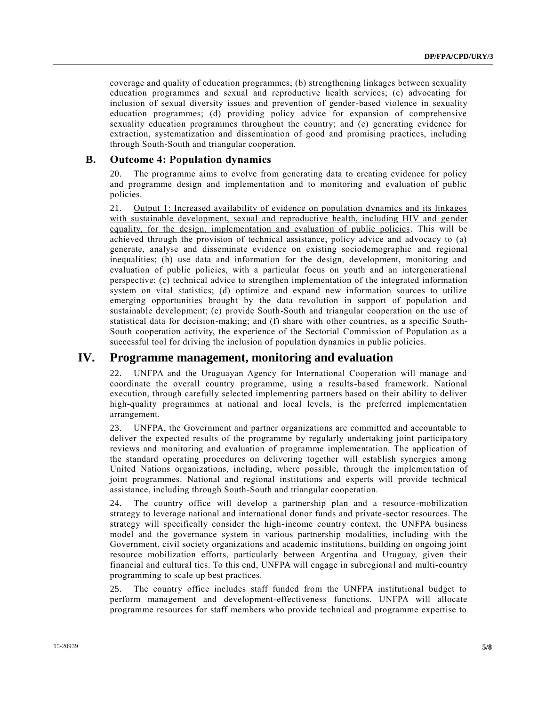coverage and quality of education programmes; (b) strengthening linkages between sexuality education programmes and sexual and reproductive health services; (c) advocating for inclusion of sexual diversity issues and prevention of gender-based violence in sexuality education programmes; (d) providing policy advice for expansion of comprehensive sexuality education programmes throughout the country; and (e) generating evidence for extraction, systematization and dissemination of good and promising practices, including through South-South and triangular cooperation.

#### **B. Outcome 4: Population dynamics**

20. The programme aims to evolve from generating data to creating evidence for policy and programme design and implementation and to monitoring and evaluation of public policies.

21. Output 1: Increased availability of evidence on population dynamics and its linkages with sustainable development, sexual and reproductive health, including HIV and gender equality, for the design, implementation and evaluation of public policies. This will be achieved through the provision of technical assistance, policy advice and advocacy to (a) generate, analyse and disseminate evidence on existing sociodemographic and regional inequalities; (b) use data and information for the design, development, monitoring and evaluation of public policies, with a particular focus on youth and an intergenerational perspective; (c) technical advice to strengthen implementation of the integrated information system on vital statistics; (d) optimize and expand new information sources to utilize emerging opportunities brought by the data revolution in support of population and sustainable development; (e) provide South-South and triangular cooperation on the use of statistical data for decision-making; and (f) share with other countries, as a specific South-South cooperation activity, the experience of the Sectorial Commission of Population as a successful tool for driving the inclusion of population dynamics in public policies.

### **IV. Programme management, monitoring and evaluation**

22. UNFPA and the Uruguayan Agency for International Cooperation will manage and coordinate the overall country programme, using a results-based framework. National execution, through carefully selected implementing partners based on their ability to deliver high-quality programmes at national and local levels, is the preferred implementation arrangement.

23. UNFPA, the Government and partner organizations are committed and accountable to deliver the expected results of the programme by regularly undertaking joint participa tory reviews and monitoring and evaluation of programme implementation. The application of the standard operating procedures on delivering together will establish synergies among United Nations organizations, including, where possible, through the implemen tation of joint programmes. National and regional institutions and experts will provide technical assistance, including through South-South and triangular cooperation.

24. The country office will develop a partnership plan and a resource -mobilization strategy to leverage national and international donor funds and private -sector resources. The strategy will specifically consider the high-income country context, the UNFPA business model and the governance system in various partnership modalities, including with the Government, civil society organizations and academic institutions, building on ongoing joint resource mobilization efforts, particularly between Argentina and Uruguay, given their financial and cultural ties. To this end, UNFPA will engage in subregiona l and multi-country programming to scale up best practices.

25. The country office includes staff funded from the UNFPA institutional budget to perform management and development-effectiveness functions. UNFPA will allocate programme resources for staff members who provide technical and programme expertise to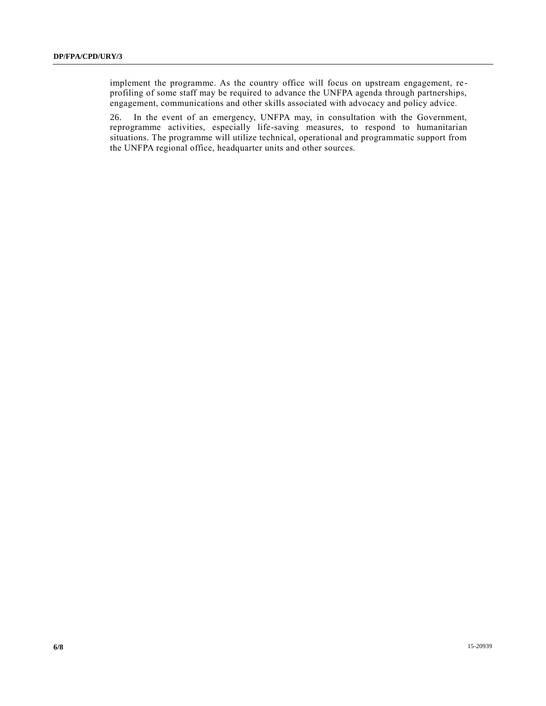implement the programme. As the country office will focus on upstream engagement, re profiling of some staff may be required to advance the UNFPA agenda through partnerships, engagement, communications and other skills associated with advocacy and policy advice.

26. In the event of an emergency, UNFPA may, in consultation with the Government, reprogramme activities, especially life-saving measures, to respond to humanitarian situations. The programme will utilize technical, operational and programmatic support from the UNFPA regional office, headquarter units and other sources.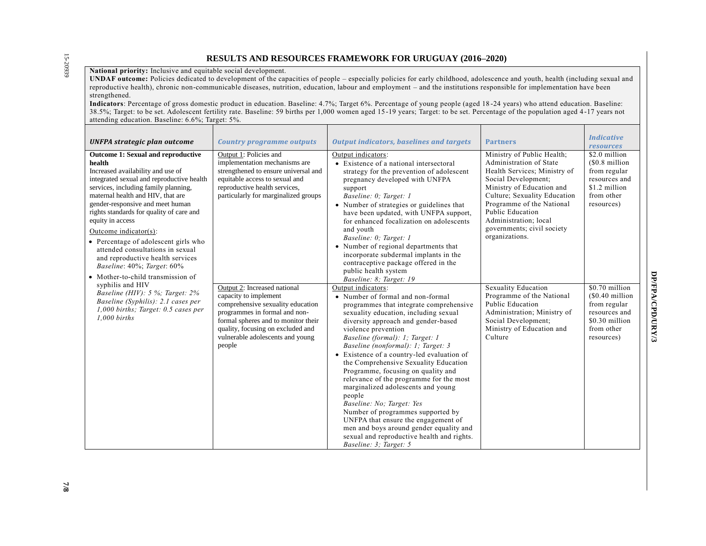#### **RESULTS AND RESOURCES FRAMEWORK FOR URUGUAY (2016–2020)**

**National priority:** Inclusive and equitable social development.

**UNDAF outcome:** Policies dedicated to development of the capacities of people – especially policies for early childhood, adolescence and youth, health (including sexual and reproductive health), chronic non-communicable diseases, nutrition, education, labour and employment – and the institutions responsible for implementation have been strengthened.

**Indicators**: Percentage of gross domestic product in education. Baseline: 4.7%; Target 6%. Percentage of young people (aged 18 -24 years) who attend education. Baseline: 38.5%; Target: to be set. Adolescent fertility rate. Baseline: 59 births per 1,000 women aged 15 -19 years; Target: to be set. Percentage of the population aged 4-17 years not attending education. Baseline: 6.6%; Target: 5%.

| <b>UNFPA strategic plan outcome</b>                                                                                                                                                                                                                                                                                                                                                                                                                                                                                                                                                                                                                                                                      | <b>Country programme outputs</b>                                                                                                                                                                                                                      | <b>Output indicators, baselines and targets</b>                                                                                                                                                                                                                                                                                                                                                                                                                                                                                                                                                                                                                                                                                        | <b>Partners</b>                                                                                                                                                                                                                                                                                     | <b>Indicative</b><br>resources                                                                                    |
|----------------------------------------------------------------------------------------------------------------------------------------------------------------------------------------------------------------------------------------------------------------------------------------------------------------------------------------------------------------------------------------------------------------------------------------------------------------------------------------------------------------------------------------------------------------------------------------------------------------------------------------------------------------------------------------------------------|-------------------------------------------------------------------------------------------------------------------------------------------------------------------------------------------------------------------------------------------------------|----------------------------------------------------------------------------------------------------------------------------------------------------------------------------------------------------------------------------------------------------------------------------------------------------------------------------------------------------------------------------------------------------------------------------------------------------------------------------------------------------------------------------------------------------------------------------------------------------------------------------------------------------------------------------------------------------------------------------------------|-----------------------------------------------------------------------------------------------------------------------------------------------------------------------------------------------------------------------------------------------------------------------------------------------------|-------------------------------------------------------------------------------------------------------------------|
| <b>Outcome 1: Sexual and reproductive</b><br>health<br>Increased availability and use of<br>integrated sexual and reproductive health<br>services, including family planning,<br>maternal health and HIV, that are<br>gender-responsive and meet human<br>rights standards for quality of care and<br>equity in access<br>Outcome indicator(s):<br>• Percentage of adolescent girls who<br>attended consultations in sexual<br>and reproductive health services<br>Baseline: 40%; Target: 60%<br>• Mother-to-child transmission of<br>syphilis and HIV<br>Baseline (HIV): $5\%$ ; Target: $2\%$<br>Baseline (Syphilis): 2.1 cases per<br>$1,000$ births; Target: 0.5 cases per<br>$1.000 \text{ births}$ | Output 1: Policies and<br>implementation mechanisms are<br>strengthened to ensure universal and<br>equitable access to sexual and<br>reproductive health services,<br>particularly for marginalized groups                                            | Output indicators:<br>• Existence of a national intersectoral<br>strategy for the prevention of adolescent<br>pregnancy developed with UNFPA<br>support<br>Baseline: 0; Target: 1<br>• Number of strategies or guidelines that<br>have been updated, with UNFPA support,<br>for enhanced focalization on adolescents<br>and youth<br>Baseline: 0; Target: 1<br>• Number of regional departments that<br>incorporate subdermal implants in the<br>contraceptive package offered in the<br>public health system<br>Baseline: 8; Target: 19                                                                                                                                                                                               | Ministry of Public Health;<br>Administration of State<br>Health Services; Ministry of<br>Social Development;<br>Ministry of Education and<br>Culture; Sexuality Education<br>Programme of the National<br>Public Education<br>Administration; local<br>governments; civil society<br>organizations. | \$2.0 million<br>$(S0.8$ million<br>from regular<br>resources and<br>\$1.2 million<br>from other<br>resources)    |
|                                                                                                                                                                                                                                                                                                                                                                                                                                                                                                                                                                                                                                                                                                          | Output 2: Increased national<br>capacity to implement<br>comprehensive sexuality education<br>programmes in formal and non-<br>formal spheres and to monitor their<br>quality, focusing on excluded and<br>vulnerable adolescents and young<br>people | Output indicators:<br>• Number of formal and non-formal<br>programmes that integrate comprehensive<br>sexuality education, including sexual<br>diversity approach and gender-based<br>violence prevention<br>Baseline (formal): 1; Target: 1<br>Baseline (nonformal): 1; Target: 3<br>• Existence of a country-led evaluation of<br>the Comprehensive Sexuality Education<br>Programme, focusing on quality and<br>relevance of the programme for the most<br>marginalized adolescents and young<br>people<br>Baseline: No; Target: Yes<br>Number of programmes supported by<br>UNFPA that ensure the engagement of<br>men and boys around gender equality and<br>sexual and reproductive health and rights.<br>Baseline: 3; Target: 5 | Sexuality Education<br>Programme of the National<br>Public Education<br>Administration; Ministry of<br>Social Development;<br>Ministry of Education and<br>Culture                                                                                                                                  | \$0.70 million<br>$($0.40$ million<br>from regular<br>resources and<br>\$0.30 million<br>from other<br>resources) |

DP/FPA/CPD/URY/3 **DP/FPA/CPD/URY/3**